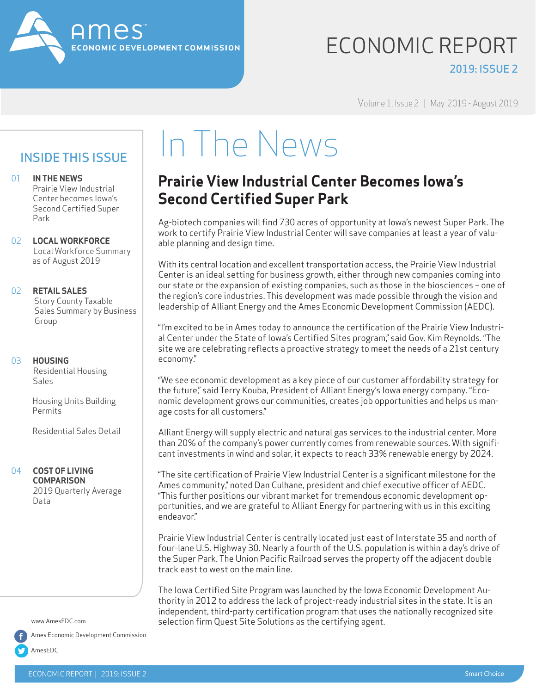

### ECONOMIC REPORT 2019: ISSUE 2

Volume 1, Issue 2 | May 2019 - August 2019

### INSIDE THIS ISSUE

01 **IN THE NEWS**

 Prairie View Industrial Center becomes Iowa's Second Certified Super Park

02 **LOCAL WORKFORCE**   Local Workforce Summary   as of August 2019

#### 02 **RETAIL SALES**

   Story County Taxable Sales Summary by Business Group

#### 03 **HOUSING**

   Residential Housing Sales

   Housing Units Building   Permits

  Residential Sales Detail

#### 04 **COST OF LIVING COMPARISON**

  2019 Quarterly Average Data

www.AmesEDC.com

Ames Economic Development Commission

AmesEDC

### In The News

### **Prairie View Industrial Center Becomes Iowa's Second Certified Super Park**

Ag-biotech companies will find 730 acres of opportunity at Iowa's newest Super Park. The work to certify Prairie View Industrial Center will save companies at least a year of valuable planning and design time.

With its central location and excellent transportation access, the Prairie View Industrial Center is an ideal setting for business growth, either through new companies coming into our state or the expansion of existing companies, such as those in the biosciences – one of the region's core industries. This development was made possible through the vision and leadership of Alliant Energy and the Ames Economic Development Commission (AEDC).

"I'm excited to be in Ames today to announce the certification of the Prairie View Industrial Center under the State of Iowa's Certified Sites program," said Gov. Kim Reynolds. "The site we are celebrating reflects a proactive strategy to meet the needs of a 21st century economy."

"We see economic development as a key piece of our customer affordability strategy for the future," said Terry Kouba, President of Alliant Energy's Iowa energy company. "Economic development grows our communities, creates job opportunities and helps us manage costs for all customers."

Alliant Energy will supply electric and natural gas services to the industrial center. More than 20% of the company's power currently comes from renewable sources. With significant investments in wind and solar, it expects to reach 33% renewable energy by 2024.

"The site certification of Prairie View Industrial Center is a significant milestone for the Ames community," noted Dan Culhane, president and chief executive officer of AEDC. "This further positions our vibrant market for tremendous economic development opportunities, and we are grateful to Alliant Energy for partnering with us in this exciting endeavor."

Prairie View Industrial Center is centrally located just east of Interstate 35 and north of four-lane U.S. Highway 30. Nearly a fourth of the U.S. population is within a day's drive of the Super Park. The Union Pacific Railroad serves the property off the adjacent double track east to west on the main line.

The Iowa Certified Site Program was launched by the Iowa Economic Development Authority in 2012 to address the lack of project-ready industrial sites in the state. It is an independent, third-party certification program that uses the nationally recognized site selection firm Quest Site Solutions as the certifying agent.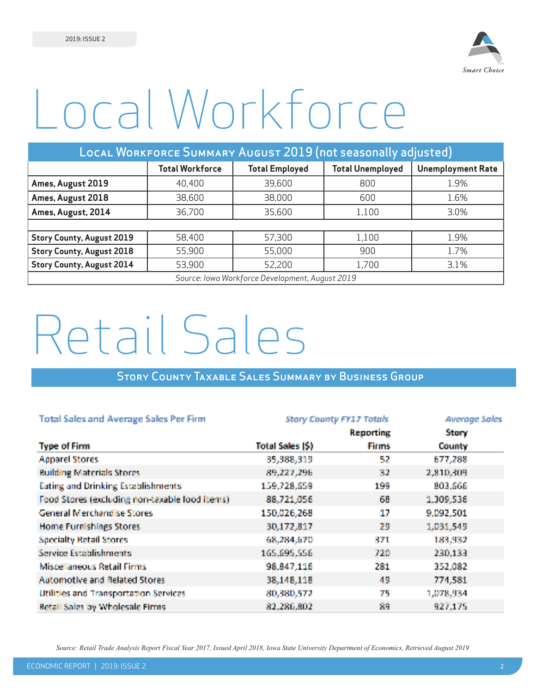

# Local Workforce

| LOCAL WORKFORCE SUMMARY AUGUST 2019 (not seasonally adjusted) |                                                                                                        |                                                 |       |      |  |  |  |  |  |
|---------------------------------------------------------------|--------------------------------------------------------------------------------------------------------|-------------------------------------------------|-------|------|--|--|--|--|--|
|                                                               | <b>Total Workforce</b><br><b>Total Unemployed</b><br><b>Total Employed</b><br><b>Unemployment Rate</b> |                                                 |       |      |  |  |  |  |  |
| Ames, August 2019                                             | 40,400                                                                                                 | 39,600                                          | 800   | 1.9% |  |  |  |  |  |
| Ames, August 2018                                             | 38,600                                                                                                 | 38,000                                          | 600   | 1.6% |  |  |  |  |  |
| Ames, August, 2014                                            | 36,700                                                                                                 | 35,600                                          | 1,100 | 3.0% |  |  |  |  |  |
|                                                               |                                                                                                        |                                                 |       |      |  |  |  |  |  |
| <b>Story County, August 2019</b>                              | 58,400                                                                                                 | 57,300                                          | 1,100 | 1.9% |  |  |  |  |  |
| <b>Story County, August 2018</b>                              | 55,900                                                                                                 | 55,000                                          | 900   | 1.7% |  |  |  |  |  |
| <b>Story County, August 2014</b>                              | 53,900                                                                                                 | 52,200                                          | 1,700 | 3.1% |  |  |  |  |  |
|                                                               |                                                                                                        | Source: Iowa Workforce Development, August 2019 |       |      |  |  |  |  |  |

## Retail Sales

### Story County Taxable Sales Summary by Business Group

| <b>Total Sales and Average Sales Per Firm</b>  | <b>Stary County FY17 Totals</b> | <b>Average Sales</b> |              |
|------------------------------------------------|---------------------------------|----------------------|--------------|
|                                                |                                 | <b>Reporting</b>     | <b>Story</b> |
| <b>Type of Firm</b>                            | Total Sales (\$)                | <b>Firms</b>         | County       |
| <b>Apparel Stores</b>                          | 35,388,319                      | 52                   | 677,288      |
| <b>Building Materials Stores</b>               | 89,227,296                      | 32                   | 2,810,309    |
| <b>Eating and Drinking Establishments</b>      | 159,728,659                     | 199                  | 803,666      |
| Food Stores (excluding non-taxable food items) | 88,721,056                      | 68                   | 1,309,536    |
| <b>General Merchandise Stores</b>              | 150,026,268                     | 17                   | 9,092,501    |
| Home Furnishings Stores                        | 30,172,817                      | 29                   | 1,031,549    |
| <b>Specialty Retail Stores</b>                 | 63,284,670                      | 371                  | 183,932      |
| <b>Service Establishments</b>                  | 165,695,556                     | 720                  | 230,133      |
| Miscellaneous Retail Firms                     | 98,847,116                      | 281                  | 352,082      |
| Automotive and Related Stores                  | 38,148,118                      | 49                   | 774,581      |
| <b>Utilities and Transportation Services</b>   | 80,380,572                      | 75                   | 1,073,934    |
| <b>Retail Sales by Wholesale Firms.</b>        | 82,286,802                      | 89                   | 927,175      |

*Source: Retail Trade Analysis Report Fiscal Year 2017, Issued April 2018, Iowa State University Department of Economics, Retrieved August 2019*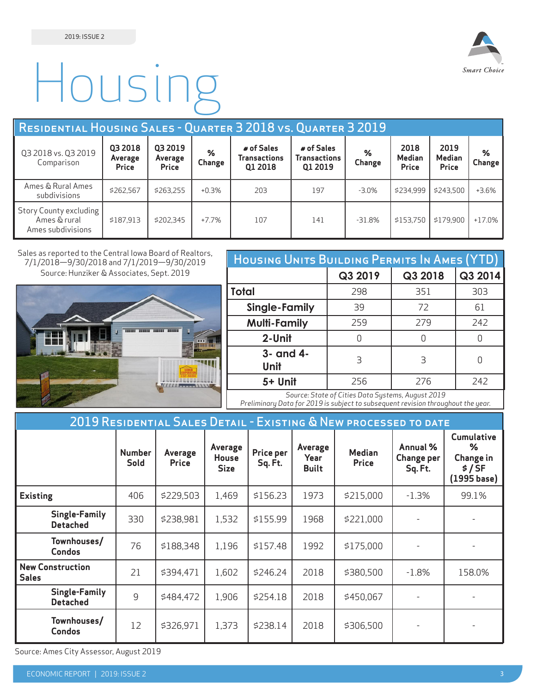

# Housing

| RESIDENTIAL HOUSING SALES - QUARTER 3 2018 VS. QUARTER 3 2019 |                                    |                                           |             |                                              |                                              |             |                                       |                                       |             |
|---------------------------------------------------------------|------------------------------------|-------------------------------------------|-------------|----------------------------------------------|----------------------------------------------|-------------|---------------------------------------|---------------------------------------|-------------|
| Q3 2018 vs. Q3 2019<br>Comparison                             | Q3 2018<br>Average<br><b>Price</b> | Q3 2019<br><b>Average</b><br><b>Price</b> | %<br>Change | # of Sales<br><b>Transactions</b><br>Q1 2018 | # of Sales<br><b>Transactions</b><br>Q1 2019 | %<br>Change | 2018<br><b>Median</b><br><b>Price</b> | 2019<br><b>Median</b><br><b>Price</b> | ℅<br>Change |
| Ames & Rural Ames<br>subdivisions                             | \$262,567                          | \$263.255                                 | $+0.3%$     | 203                                          | 197                                          | $-3.0%$     | \$234.999                             | \$243.500                             | $+3.6%$     |
| Story County excluding<br>Ames & rural<br>Ames subdivisions   | \$187.913                          | \$202.345                                 | $+7.7%$     | 107                                          | 141                                          | $-31.8%$    | \$153.750                             | \$179.900                             | $+17.0%$    |

Sales as reported to the Central Iowa Board of Realtors, 7/1/2018—9/30/2018 and 7/1/2019—9/30/2019 Source: Hunziker & Associates, Sept. 2019



| HOUSING UNITS BUILDING PERMITS IN AMES (YTD) |         |         |         |  |  |  |  |  |
|----------------------------------------------|---------|---------|---------|--|--|--|--|--|
|                                              | Q3 2019 | Q3 2018 | Q3 2014 |  |  |  |  |  |
| Total                                        | 298     | 351     | 303     |  |  |  |  |  |
| Single-Family                                | 39      | 72      | 61      |  |  |  |  |  |
| <b>Multi-Family</b>                          | 259     | 279     | 242     |  |  |  |  |  |
| 2-Unit                                       | U       | N       | U       |  |  |  |  |  |
| 3- and 4-<br>Unit                            | 3       | 3       |         |  |  |  |  |  |
| 5+ Unit                                      | 256     | 276     | 242     |  |  |  |  |  |

*Source: State of Cities Data Systems, August 2019 Preliminary Data for 2019 is subject to subsequent revision throughout the year.*

| 2019 RESIDENTIAL SALES DETAIL - EXISTING & NEW PROCESSED TO DATE |                                         |                       |                         |                                        |                      |                                 |                               |                                          |                                                               |
|------------------------------------------------------------------|-----------------------------------------|-----------------------|-------------------------|----------------------------------------|----------------------|---------------------------------|-------------------------------|------------------------------------------|---------------------------------------------------------------|
|                                                                  |                                         | <b>Number</b><br>Sold | Average<br><b>Price</b> | Average<br><b>House</b><br><b>Size</b> | Price per<br>Sq. Ft. | Average<br>Year<br><b>Built</b> | <b>Median</b><br><b>Price</b> | Annual %<br><b>Change per</b><br>Sq. Ft. | <b>Cumulative</b><br>℅<br>Change in<br>\$ / SF<br>(1995 base) |
| <b>Existing</b>                                                  |                                         | 406                   | \$229,503               | 1,469                                  | \$156.23             | 1973                            | \$215,000                     | $-1.3%$                                  | 99.1%                                                         |
|                                                                  | <b>Single-Family</b><br><b>Detached</b> | 330                   | \$238,981               | 1,532                                  | \$155.99             | 1968                            | \$221,000                     |                                          |                                                               |
|                                                                  | Townhouses/<br><b>Condos</b>            | 76                    | \$188,348               | 1,196                                  | \$157.48             | 1992                            | \$175,000                     |                                          |                                                               |
| <b>Sales</b>                                                     | <b>New Construction</b>                 | 21                    | \$394,471               | 1,602                                  | \$246.24             | 2018                            | \$380,500                     | $-1.8\%$                                 | 158.0%                                                        |
|                                                                  | <b>Single-Family</b><br><b>Detached</b> | 9                     | \$484,472               | 1,906                                  | \$254.18             | 2018                            | \$450,067                     |                                          |                                                               |
|                                                                  | Townhouses/<br><b>Condos</b>            | 12                    | \$326,971               | 1,373                                  | \$238.14             | 2018                            | \$306,500                     |                                          |                                                               |

Source: Ames City Assessor, August 2019